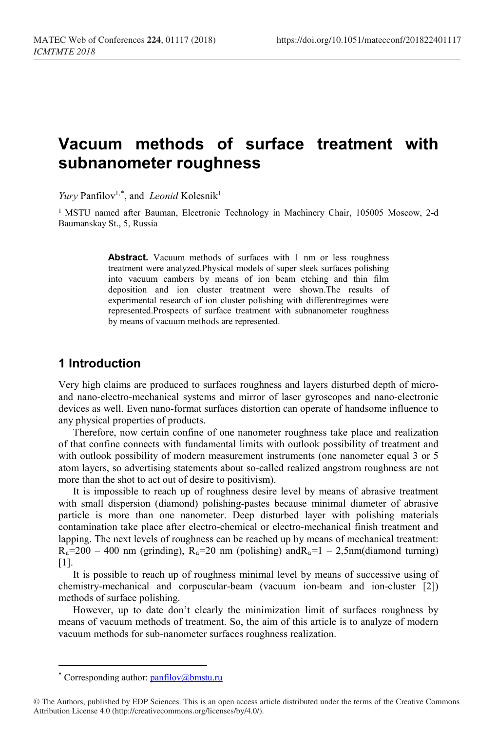# **Vacuum methods of surface treatment with subnanometer roughness**

*Yury* Panfilov<sup>1,[\\*](#page-0-0)</sup>, and *Leonid* Kolesnik<sup>1</sup>

<sup>1</sup> MSTU named after Bauman, Electronic Technology in Machinery Chair, 105005 Moscow, 2-d Baumanskay St., 5, Russia

> Abstract. Vacuum methods of surfaces with 1 nm or less roughness treatment were analyzed.Physical models of super sleek surfaces polishing into vacuum cambers by means of ion beam etching and thin film deposition and ion cluster treatment were shown.The results of experimental research of ion cluster polishing with differentregimes were represented.Prospects of surface treatment with subnanometer roughness by means of vacuum methods are represented.

## **1 Introduction**

Very high claims are produced to surfaces roughness and layers disturbed depth of microand nano-electro-mechanical systems and mirror of laser gyroscopes and nano-electronic devices as well. Even nano-format surfaces distortion can operate of handsome influence to any physical properties of products.

Therefore, now certain confine of one nanometer roughness take place and realization of that confine connects with fundamental limits with outlook possibility of treatment and with outlook possibility of modern measurement instruments (one nanometer equal 3 or 5 atom layers, so advertising statements about so-called realized angstrom roughness are not more than the shot to act out of desire to positivism).

It is impossible to reach up of roughness desire level by means of abrasive treatment with small dispersion (diamond) polishing-pastes because minimal diameter of abrasive particle is more than one nanometer. Deep disturbed layer with polishing materials contamination take place after electro-chemical or electro-mechanical finish treatment and lapping. The next levels of roughness can be reached up by means of mechanical treatment:  $R_a=200 - 400$  nm (grinding),  $R_a=20$  nm (polishing) and  $R_a=1 - 2.5$ nm(diamond turning) [1].

It is possible to reach up of roughness minimal level by means of successive using of chemistry-mechanical and corpuscular-beam (vacuum ion-beam and ion-cluster [2]) methods of surface polishing.

However, up to date don't clearly the minimization limit of surfaces roughness by means of vacuum methods of treatment. So, the aim of this article is to analyze of modern vacuum methods for sub-nanometer surfaces roughness realization.

 $\overline{\phantom{a}}$ 

<sup>\*</sup> Corresponding author:  $\frac{\text{p}, \text{p}}{\text{p}}$ 

<span id="page-0-0"></span><sup>©</sup> The Authors, published by EDP Sciences. This is an open access article distributed under the terms of the Creative Commons Attribution License 4.0 (http://creativecommons.org/licenses/by/4.0/).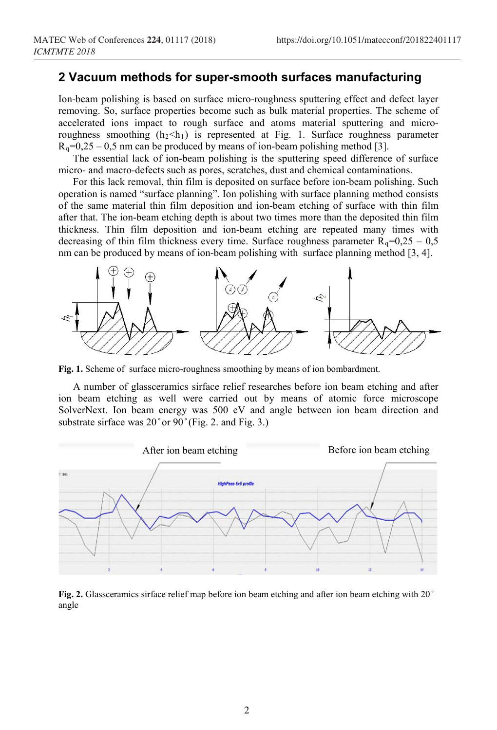### **2 Vacuum methods for super-smooth surfaces manufacturing**

Ion-beam polishing is based on surface micro-roughness sputtering effect and defect layer removing. So, surface properties become such as bulk material properties. The scheme of accelerated ions impact to rough surface and atoms material sputtering and microroughness smoothing  $(h_2< h_1)$  is represented at Fig. 1. Surface roughness parameter  $R_q=0,25-0,5$  nm can be produced by means of ion-beam polishing method [3].

The essential lack of ion-beam polishing is the sputtering speed difference of surface micro- and macro-defects such as pores, scratches, dust and chemical contaminations.

For this lack removal, thin film is deposited on surface before ion-beam polishing. Such operation is named "surface planning". Ion polishing with surface planning method consists of the same material thin film deposition and ion-beam etching of surface with thin film after that. The ion-beam etching depth is about two times more than the deposited thin film thickness. Thin film deposition and ion-beam etching are repeated many times with decreasing of thin film thickness every time. Surface roughness parameter  $R_q=0,25 - 0,5$ nm can be produced by means of ion-beam polishing with surface planning method [3, 4].



**Fig. 1.** Scheme of surface micro-roughness smoothing by means of ion bombardment.

A number of glassceramics sirface relief researches before ion beam etching and after ion beam etching as well were carried out by means of atomic force microscope SolverNext. Ion beam energy was 500 eV and angle between ion beam direction and substrate sirface was  $20^{\circ}$  or  $90^{\circ}$  (Fig. 2. and Fig. 3.)



**Fig. 2.** Glassceramics sirface relief map before ion beam etching and after ion beam etching with 20<sup>°</sup> angle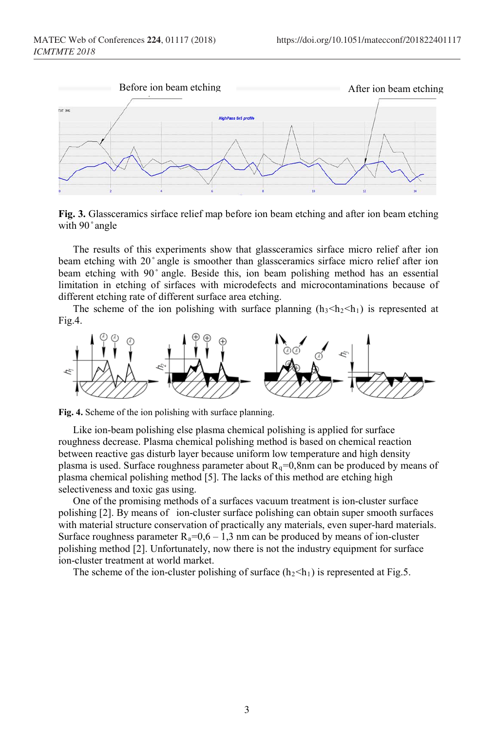

**Fig. 3.** Glassceramics sirface relief map before ion beam etching and after ion beam etching with 90° angle

The results of this experiments show that glassceramics sirface micro relief after ion beam etching with 20° angle is smoother than glassceramics sirface micro relief after ion beam etching with 90° angle. Beside this, ion beam polishing method has an essential limitation in etching of sirfaces with microdefects and microcontaminations because of different etching rate of different surface area etching.

The scheme of the ion polishing with surface planning  $(h_3 \le h_2 \le h_1)$  is represented at Fig.4.



**Fig. 4.** Scheme of the ion polishing with surface planning.

Like ion-beam polishing else plasma chemical polishing is applied for surface roughness decrease. Plasma chemical polishing method is based on chemical reaction between reactive gas disturb layer because uniform low temperature and high density plasma is used. Surface roughness parameter about  $R_q=0,8$ nm can be produced by means of plasma chemical polishing method [5]. The lacks of this method are etching high selectiveness and toxic gas using.

One of the promising methods of a surfaces vacuum treatment is ion-cluster surface polishing [2]. By means of ion-cluster surface polishing can obtain super smooth surfaces with material structure conservation of practically any materials, even super-hard materials. Surface roughness parameter  $R_a=0, 6-1, 3$  nm can be produced by means of ion-cluster polishing method [2]. Unfortunately, now there is not the industry equipment for surface ion-cluster treatment at world market.

The scheme of the ion-cluster polishing of surface  $(h_2< h_1)$  is represented at Fig.5.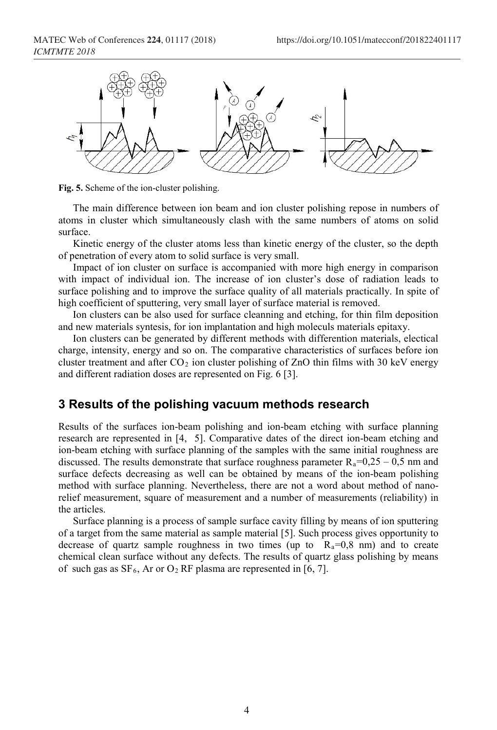

**Fig. 5.** Scheme of the ion-cluster polishing.

The main difference between ion beam and ion cluster polishing repose in numbers of atoms in cluster which simultaneously clash with the same numbers of atoms on solid surface.

Kinetic energy of the cluster atoms less than kinetic energy of the cluster, so the depth of penetration of every atom to solid surface is very small.

Impact of ion cluster on surface is accompanied with more high energy in comparison with impact of individual ion. The increase of ion cluster's dose of radiation leads to surface polishing and to improve the surface quality of all materials practically. In spite of high coefficient of sputtering, very small layer of surface material is removed.

Ion clusters can be also used for surface cleanning and etching, for thin film deposition and new materials syntesis, for ion implantation and high moleculs materials epitaxy.

Ion clusters can be generated by different methods with differention materials, electical charge, intensity, energy and so on. The comparative characteristics of surfaces before ion cluster treatment and after  $CO<sub>2</sub>$  ion cluster polishing of ZnO thin films with 30 keV energy and different radiation doses are represented on Fig. 6 [3].

#### **3 Results of the polishing vacuum methods research**

Results of the surfaces ion-beam polishing and ion-beam etching with surface planning research are represented in [4, 5]. Comparative dates of the direct ion-beam etching and ion-beam etching with surface planning of the samples with the same initial roughness are discussed. The results demonstrate that surface roughness parameter  $R_a=0,25-0,5$  nm and surface defects decreasing as well can be obtained by means of the ion-beam polishing method with surface planning. Nevertheless, there are not a word about method of nanorelief measurement, square of measurement and a number of measurements (reliability) in the articles.

Surface planning is a process of sample surface cavity filling by means of ion sputtering of a target from the same material as sample material [5]. Such process gives opportunity to decrease of quartz sample roughness in two times (up to  $R_a=0.8$  nm) and to create chemical clean surface without any defects. The results of quartz glass polishing by means of such gas as  $SF_6$ , Ar or  $O_2$  RF plasma are represented in [6, 7].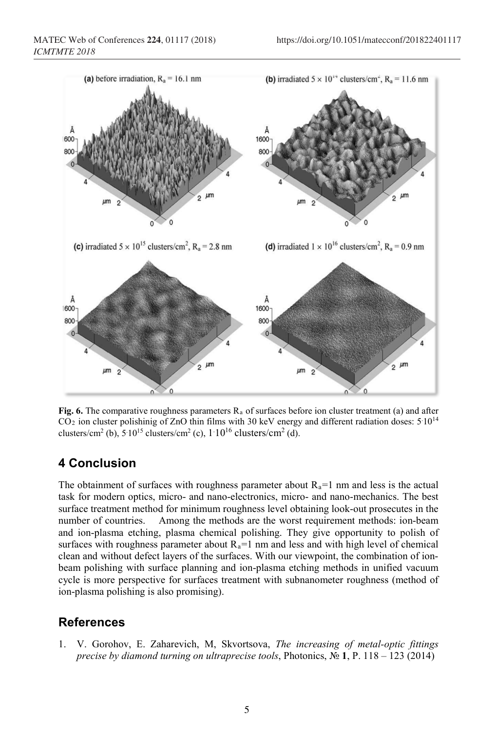

**Fig.** 6. The comparative roughness parameters  $R_a$  of surfaces before ion cluster treatment (a) and after  $CO<sub>2</sub>$  ion cluster polishinig of ZnO thin films with 30 keV energy and different radiation doses:  $5.10^{14}$ clusters/cm<sup>2</sup> (b), 5:10<sup>15</sup> clusters/cm<sup>2</sup> (c),  $1.10^{16}$  clusters/cm<sup>2</sup> (d).

## **4 Conclusion**

The obtainment of surfaces with roughness parameter about  $R_a=1$  nm and less is the actual task for modern optics, micro- and nano-electronics, micro- and nano-mechanics. The best surface treatment method for minimum roughness level obtaining look-out prosecutes in the number of countries. Among the methods are the worst requirement methods: ion-beam and ion-plasma etching, plasma chemical polishing. They give opportunity to polish of surfaces with roughness parameter about  $R_a=1$  nm and less and with high level of chemical clean and without defect layers of the surfaces. With our viewpoint, the combination of ionbeam polishing with surface planning and ion-plasma etching methods in unified vacuum cycle is more perspective for surfaces treatment with subnanometer roughness (method of ion-plasma polishing is also promising).

## **References**

1. V. Gorohov, E. Zaharevich, M, Skvortsova, *The increasing of metal-optic fittings precise by diamond turning on ultraprecise tools*, Photonics, № **1**, P. 118 – 123 (2014)